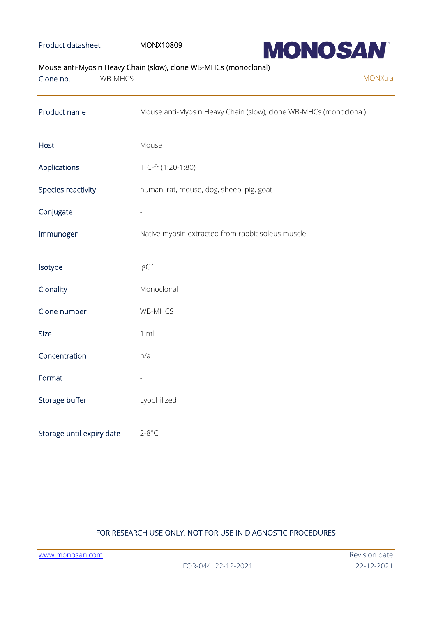## Product datasheet MONX10809



Mouse anti-Myosin Heavy Chain (slow), clone WB-MHCs (monoclonal)

| Clone no.                 | WB-MHCS |                                                                  | MONXtra |
|---------------------------|---------|------------------------------------------------------------------|---------|
| Product name              |         | Mouse anti-Myosin Heavy Chain (slow), clone WB-MHCs (monoclonal) |         |
| Host                      |         | Mouse                                                            |         |
| Applications              |         | IHC-fr (1:20-1:80)                                               |         |
| Species reactivity        |         | human, rat, mouse, dog, sheep, pig, goat                         |         |
| Conjugate                 |         |                                                                  |         |
| Immunogen                 |         | Native myosin extracted from rabbit soleus muscle.               |         |
| Isotype                   |         | IgG1                                                             |         |
| Clonality                 |         | Monoclonal                                                       |         |
| Clone number              |         | WB-MHCS                                                          |         |
| Size                      |         | 1 m                                                              |         |
| Concentration             |         | n/a                                                              |         |
| Format                    |         |                                                                  |         |
| Storage buffer            |         | Lyophilized                                                      |         |
| Storage until expiry date |         | $2-8$ °C                                                         |         |

# FOR RESEARCH USE ONLY. NOT FOR USE IN DIAGNOSTIC PROCEDURES

[www.monosan.com](http://www.monosan.com/) **Revision** date